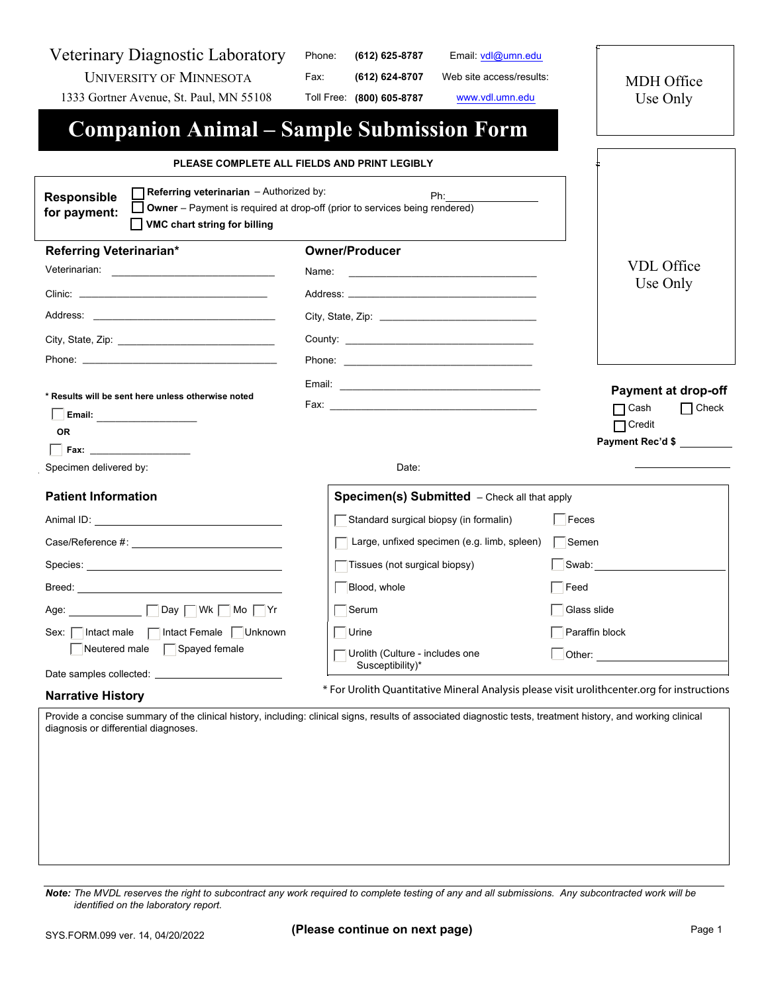Veterinary Diagnostic Laboratory UNIVERSITY OF MINNESOTA

1333 Gortner Avenue, St. Paul, MN 55108

Phone: **(612) 625-8787** Email: vdl@umn.edu

Fax: **(612) 624-8707** Web site access/results:

Toll Free: **(800) 605-8787** www.vdl.umn.edu

MDH Office Use Only

**Companion Animal – Sample Submission Form**

## **PLEASE COMPLETE ALL FIELDS AND PRINT LEGIBLY**

| <b>Referring veterinarian</b> $-$ Authorized by:<br>Responsible<br>for payment:<br>VMC chart string for billing                                                                                                                                                                                                      | Ph:<br>Owner - Payment is required at drop-off (prior to services being rendered)                                                                                                                                              |                                                                                                                                                                                                                               |
|----------------------------------------------------------------------------------------------------------------------------------------------------------------------------------------------------------------------------------------------------------------------------------------------------------------------|--------------------------------------------------------------------------------------------------------------------------------------------------------------------------------------------------------------------------------|-------------------------------------------------------------------------------------------------------------------------------------------------------------------------------------------------------------------------------|
| Referring Veterinarian*                                                                                                                                                                                                                                                                                              | <b>Owner/Producer</b>                                                                                                                                                                                                          |                                                                                                                                                                                                                               |
| Veterinarian:<br><u> 1989 - Johann Stein, mars and de Britannich (b. 1989)</u>                                                                                                                                                                                                                                       | Name:                                                                                                                                                                                                                          | <b>VDL</b> Office                                                                                                                                                                                                             |
| Clinic: <b>Clinic</b> and <b>Clinic</b> and <b>Clinic</b> and <b>Clinic</b> and <b>Clinic</b> and <b>Clinic</b> and <b>Clinic</b> and <b>Clinic</b> and <b>Clinic</b> and <b>Clinic</b> and <b>Clinic</b> and <b>Clinic</b> and <b>Clinic</b> and <b>Clinic</b> and <b>Clinic</b> and <b>Clinic</b> and <b>Clini</b> | Address: Analysis and the contract of the contract of the contract of the contract of the contract of the contract of the contract of the contract of the contract of the contract of the contract of the contract of the cont | Use Only                                                                                                                                                                                                                      |
|                                                                                                                                                                                                                                                                                                                      |                                                                                                                                                                                                                                |                                                                                                                                                                                                                               |
|                                                                                                                                                                                                                                                                                                                      |                                                                                                                                                                                                                                |                                                                                                                                                                                                                               |
|                                                                                                                                                                                                                                                                                                                      |                                                                                                                                                                                                                                |                                                                                                                                                                                                                               |
| * Results will be sent here unless otherwise noted<br><b>OR</b>                                                                                                                                                                                                                                                      |                                                                                                                                                                                                                                | <b>Payment at drop-off</b><br>$\Box$ Cash<br>$\Box$ Check<br>$\Box$ Credit<br><b>Payment Rec'd \$</b>                                                                                                                         |
| $\overline{\phantom{a}}$ Fax:                                                                                                                                                                                                                                                                                        |                                                                                                                                                                                                                                |                                                                                                                                                                                                                               |
| Specimen delivered by:                                                                                                                                                                                                                                                                                               | Date:                                                                                                                                                                                                                          |                                                                                                                                                                                                                               |
| <b>Patient Information</b>                                                                                                                                                                                                                                                                                           | Specimen(s) Submitted - Check all that apply                                                                                                                                                                                   |                                                                                                                                                                                                                               |
|                                                                                                                                                                                                                                                                                                                      | Standard surgical biopsy (in formalin)                                                                                                                                                                                         | Feces                                                                                                                                                                                                                         |
|                                                                                                                                                                                                                                                                                                                      | Large, unfixed specimen (e.g. limb, spleen)                                                                                                                                                                                    | $\overline{\phantom{a}}$ Semen                                                                                                                                                                                                |
|                                                                                                                                                                                                                                                                                                                      | Tissues (not surgical biopsy)                                                                                                                                                                                                  | Swab: Website the Swab of the Swab of the Swab of the Swab of the Swab of the Swab of the Swab of the Swab of the Swab of the Swab of the Swab of the Swab of the Swab of the Swab of the Swab of the Swab of the Swab of the |
| Breed: with a state of the contract of the contract of the contract of the contract of the contract of the contract of the contract of the contract of the contract of the contract of the contract of the contract of the con                                                                                       | Blood, whole                                                                                                                                                                                                                   | Feed                                                                                                                                                                                                                          |
| Age: <u>Network: Note</u> Day Note: Note: Note: Note: Note: Note: Note: Note: Note: Note: Note: Note: Note: Note: Note: Note: Note: Note: Note: Note: Note: Note: Note: Note: Note: Note: Note: Note: Note: Note: Note: Note: Note:                                                                                  | Serum                                                                                                                                                                                                                          | Glass slide                                                                                                                                                                                                                   |
| Sex:   Intact male   Intact Female   Unknown                                                                                                                                                                                                                                                                         | $\overline{\phantom{a}}$ Urine                                                                                                                                                                                                 | Paraffin block                                                                                                                                                                                                                |
| Neutered male $\Box$ Spayed female                                                                                                                                                                                                                                                                                   | Urolith (Culture - includes one<br>Susceptibility)*                                                                                                                                                                            |                                                                                                                                                                                                                               |
| <b>Narrative History</b>                                                                                                                                                                                                                                                                                             | * For Urolith Quantitative Mineral Analysis please visit urolithcenter.org for instructions                                                                                                                                    |                                                                                                                                                                                                                               |
| Provide a concise summary of the clinical history, including: clinical signs, results of associated diagnostic tests, treatment history, and working clinical<br>diagnosis or differential diagnoses.                                                                                                                |                                                                                                                                                                                                                                |                                                                                                                                                                                                                               |

*Note: The MVDL reserves the right to subcontract any work required to complete testing of any and all submissions. Any subcontracted work will be identified on the laboratory report.*